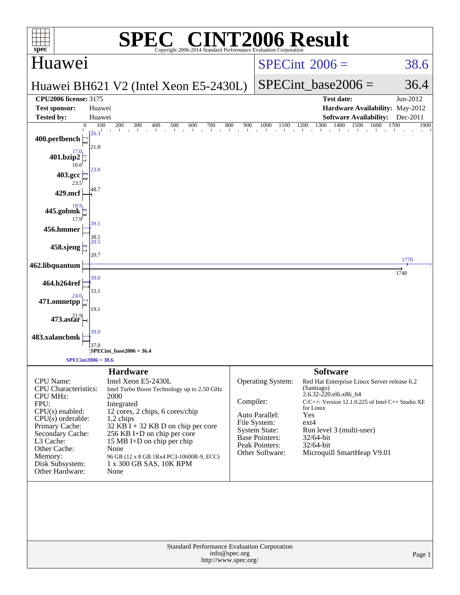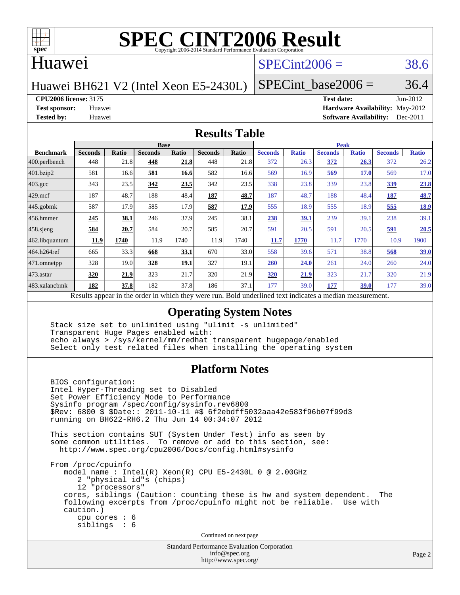

### Huawei

## $SPECint2006 = 38.6$  $SPECint2006 = 38.6$

Huawei BH621 V2 (Intel Xeon E5-2430L)

SPECint base2006 =  $36.4$ 

### **[CPU2006 license:](http://www.spec.org/auto/cpu2006/Docs/result-fields.html#CPU2006license)** 3175 **[Test date:](http://www.spec.org/auto/cpu2006/Docs/result-fields.html#Testdate)** Jun-2012

**[Test sponsor:](http://www.spec.org/auto/cpu2006/Docs/result-fields.html#Testsponsor)** Huawei **[Hardware Availability:](http://www.spec.org/auto/cpu2006/Docs/result-fields.html#HardwareAvailability)** May-2012 **[Tested by:](http://www.spec.org/auto/cpu2006/Docs/result-fields.html#Testedby)** Huawei **[Software Availability:](http://www.spec.org/auto/cpu2006/Docs/result-fields.html#SoftwareAvailability)** Dec-2011

### **[Results Table](http://www.spec.org/auto/cpu2006/Docs/result-fields.html#ResultsTable)**

|                    | <b>Base</b>                                                   |       |                |             |                |       | <b>Peak</b>                               |              |                |              |                |              |
|--------------------|---------------------------------------------------------------|-------|----------------|-------------|----------------|-------|-------------------------------------------|--------------|----------------|--------------|----------------|--------------|
| <b>Benchmark</b>   | <b>Seconds</b>                                                | Ratio | <b>Seconds</b> | Ratio       | <b>Seconds</b> | Ratio | <b>Seconds</b>                            | <b>Ratio</b> | <b>Seconds</b> | <b>Ratio</b> | <b>Seconds</b> | <b>Ratio</b> |
| 400.perlbench      | 448                                                           | 21.8  | 448            | 21.8        | 448            | 21.8  | 372                                       | 26.3         | 372            | 26.3         | 372            | 26.2         |
| 401.bzip2          | 581                                                           | 16.6  | 581            | 16.6        | 582            | 16.6  | 569                                       | 16.9         | 569            | <b>17.0</b>  | 569            | 17.0         |
| $403.\mathrm{gcc}$ | 343                                                           | 23.5  | 342            | 23.5        | 342            | 23.5  | 338                                       | 23.8         | 339            | 23.8         | 339            | 23.8         |
| $429$ mcf          | 187                                                           | 48.7  | 188            | 48.4        | 187            | 48.7  | 187                                       | 48.7         | 188            | 48.4         | 187            | 48.7         |
| $445$ .gobmk       | 587                                                           | 17.9  | 585            | 17.9        | 587            | 17.9  | 555                                       | 18.9         | 555            | 18.9         | 555            | <u>18.9</u>  |
| $456.$ hmmer       | 245                                                           | 38.1  | 246            | 37.9        | 245            | 38.1  | 238                                       | 39.1         | 239            | 39.1         | 238            | 39.1         |
| $458$ .sjeng       | 584                                                           | 20.7  | 584            | 20.7        | 585            | 20.7  | 591                                       | 20.5         | 591            | 20.5         | 591            | 20.5         |
| 462.libquantum     | 11.9                                                          | 1740  | 11.9           | 1740        | 11.9           | 1740  | 11.7                                      | 1770         | 11.7           | 1770         | 10.9           | 1900         |
| 464.h264ref        | 665                                                           | 33.3  | 668            | 33.1        | 670            | 33.0  | 558                                       | 39.6         | 571            | 38.8         | 568            | <u>39.0</u>  |
| 471.omnetpp        | 328                                                           | 19.0  | 328            | <u>19.1</u> | 327            | 19.1  | <b>260</b>                                | 24.0         | 261            | 24.0         | 260            | 24.0         |
| 473.astar          | 320                                                           | 21.9  | 323            | 21.7        | 320            | 21.9  | 320                                       | <u>21.9</u>  | 323            | 21.7         | 320            | 21.9         |
| 483.xalancbmk      | 182                                                           | 37.8  | 182            | 37.8        | 186            | 37.1  | 177                                       | 39.0         | 177            | 39.0         | 177            | 39.0         |
|                    | Described and can be the condentry ordered theory occurs more |       |                |             |                |       | Dald and authority of the traditional and |              | مدماثات ماميد  |              |                |              |

Results appear in the [order in which they were run.](http://www.spec.org/auto/cpu2006/Docs/result-fields.html#RunOrder) Bold underlined text [indicates a median measurement.](http://www.spec.org/auto/cpu2006/Docs/result-fields.html#Median)

### **[Operating System Notes](http://www.spec.org/auto/cpu2006/Docs/result-fields.html#OperatingSystemNotes)**

 Stack size set to unlimited using "ulimit -s unlimited" Transparent Huge Pages enabled with: echo always > /sys/kernel/mm/redhat\_transparent\_hugepage/enabled Select only test related files when installing the operating system

### **[Platform Notes](http://www.spec.org/auto/cpu2006/Docs/result-fields.html#PlatformNotes)**

 BIOS configuration: Intel Hyper-Threading set to Disabled Set Power Efficiency Mode to Performance Sysinfo program /spec/config/sysinfo.rev6800 \$Rev: 6800 \$ \$Date:: 2011-10-11 #\$ 6f2ebdff5032aaa42e583f96b07f99d3 running on BH622-RH6.2 Thu Jun 14 00:34:07 2012 This section contains SUT (System Under Test) info as seen by some common utilities. To remove or add to this section, see: <http://www.spec.org/cpu2006/Docs/config.html#sysinfo> From /proc/cpuinfo model name:  $Intel(R)$  Xeon $(R)$  CPU E5-2430L 0 @ 2.00GHz 2 "physical id"s (chips) 12 "processors" cores, siblings (Caution: counting these is hw and system dependent. The following excerpts from /proc/cpuinfo might not be reliable. Use with caution.) cpu cores : 6 siblings : 6 Continued on next page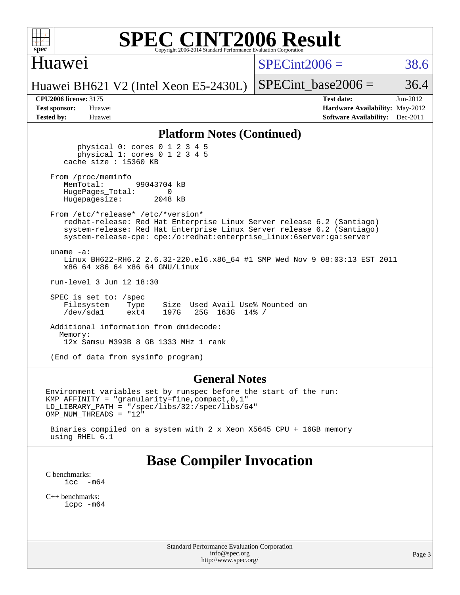

### Huawei

 $SPECint2006 = 38.6$  $SPECint2006 = 38.6$ 

Huawei BH621 V2 (Intel Xeon E5-2430L)

SPECint base2006 =  $36.4$ 

| <b>Test sponsor:</b> | Huawei |
|----------------------|--------|
| <b>Tested by:</b>    | Huawei |

**[CPU2006 license:](http://www.spec.org/auto/cpu2006/Docs/result-fields.html#CPU2006license)** 3175 **[Test date:](http://www.spec.org/auto/cpu2006/Docs/result-fields.html#Testdate)** Jun-2012 **[Hardware Availability:](http://www.spec.org/auto/cpu2006/Docs/result-fields.html#HardwareAvailability)** May-2012 **[Software Availability:](http://www.spec.org/auto/cpu2006/Docs/result-fields.html#SoftwareAvailability)** Dec-2011

### **[Platform Notes \(Continued\)](http://www.spec.org/auto/cpu2006/Docs/result-fields.html#PlatformNotes)**

 physical 0: cores 0 1 2 3 4 5 physical 1: cores 0 1 2 3 4 5 cache size : 15360 KB

From /proc/meminfo<br>MemTotal: 99043704 kB HugePages\_Total: 0<br>Hugepagesize: 2048 kB Hugepagesize:

 From /etc/\*release\* /etc/\*version\* redhat-release: Red Hat Enterprise Linux Server release 6.2 (Santiago) system-release: Red Hat Enterprise Linux Server release 6.2 (Santiago) system-release-cpe: cpe:/o:redhat:enterprise\_linux:6server:ga:server

 uname -a: Linux BH622-RH6.2 2.6.32-220.el6.x86\_64 #1 SMP Wed Nov 9 08:03:13 EST 2011 x86\_64 x86\_64 x86\_64 GNU/Linux

run-level 3 Jun 12 18:30

 SPEC is set to: /spec Filesystem Type Size Used Avail Use% Mounted on<br>
/dev/sda1 ext4 197G 25G 163G 14% / 25G 163G 14% /

 Additional information from dmidecode: Memory: 12x Samsu M393B 8 GB 1333 MHz 1 rank

(End of data from sysinfo program)

### **[General Notes](http://www.spec.org/auto/cpu2006/Docs/result-fields.html#GeneralNotes)**

Environment variables set by runspec before the start of the run: KMP\_AFFINITY = "granularity=fine,compact,0,1" LD\_LIBRARY\_PATH = "/spec/libs/32:/spec/libs/64" OMP\_NUM\_THREADS = "12"

 Binaries compiled on a system with 2 x Xeon X5645 CPU + 16GB memory using RHEL 6.1

## **[Base Compiler Invocation](http://www.spec.org/auto/cpu2006/Docs/result-fields.html#BaseCompilerInvocation)**

[C benchmarks](http://www.spec.org/auto/cpu2006/Docs/result-fields.html#Cbenchmarks):<br> $\frac{icc}{c}$  $-m64$ 

[C++ benchmarks:](http://www.spec.org/auto/cpu2006/Docs/result-fields.html#CXXbenchmarks) [icpc -m64](http://www.spec.org/cpu2006/results/res2012q3/cpu2006-20120629-23274.flags.html#user_CXXbase_intel_icpc_64bit_fc66a5337ce925472a5c54ad6a0de310)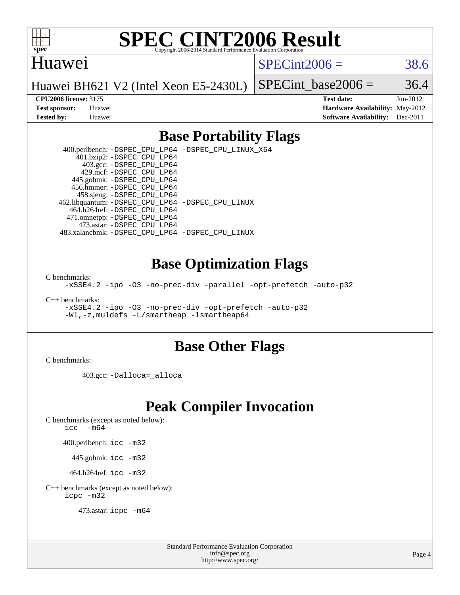

### Huawei

 $SPECint2006 = 38.6$  $SPECint2006 = 38.6$ 

Huawei BH621 V2 (Intel Xeon E5-2430L)

SPECint base2006 =  $36.4$ 

**[CPU2006 license:](http://www.spec.org/auto/cpu2006/Docs/result-fields.html#CPU2006license)** 3175 **[Test date:](http://www.spec.org/auto/cpu2006/Docs/result-fields.html#Testdate)** Jun-2012 **[Test sponsor:](http://www.spec.org/auto/cpu2006/Docs/result-fields.html#Testsponsor)** Huawei **[Hardware Availability:](http://www.spec.org/auto/cpu2006/Docs/result-fields.html#HardwareAvailability)** May-2012 **[Tested by:](http://www.spec.org/auto/cpu2006/Docs/result-fields.html#Testedby)** Huawei **[Software Availability:](http://www.spec.org/auto/cpu2006/Docs/result-fields.html#SoftwareAvailability)** Dec-2011

### **[Base Portability Flags](http://www.spec.org/auto/cpu2006/Docs/result-fields.html#BasePortabilityFlags)**

 400.perlbench: [-DSPEC\\_CPU\\_LP64](http://www.spec.org/cpu2006/results/res2012q3/cpu2006-20120629-23274.flags.html#b400.perlbench_basePORTABILITY_DSPEC_CPU_LP64) [-DSPEC\\_CPU\\_LINUX\\_X64](http://www.spec.org/cpu2006/results/res2012q3/cpu2006-20120629-23274.flags.html#b400.perlbench_baseCPORTABILITY_DSPEC_CPU_LINUX_X64) 401.bzip2: [-DSPEC\\_CPU\\_LP64](http://www.spec.org/cpu2006/results/res2012q3/cpu2006-20120629-23274.flags.html#suite_basePORTABILITY401_bzip2_DSPEC_CPU_LP64) 403.gcc: [-DSPEC\\_CPU\\_LP64](http://www.spec.org/cpu2006/results/res2012q3/cpu2006-20120629-23274.flags.html#suite_basePORTABILITY403_gcc_DSPEC_CPU_LP64) 429.mcf: [-DSPEC\\_CPU\\_LP64](http://www.spec.org/cpu2006/results/res2012q3/cpu2006-20120629-23274.flags.html#suite_basePORTABILITY429_mcf_DSPEC_CPU_LP64) 445.gobmk: [-DSPEC\\_CPU\\_LP64](http://www.spec.org/cpu2006/results/res2012q3/cpu2006-20120629-23274.flags.html#suite_basePORTABILITY445_gobmk_DSPEC_CPU_LP64) 456.hmmer: [-DSPEC\\_CPU\\_LP64](http://www.spec.org/cpu2006/results/res2012q3/cpu2006-20120629-23274.flags.html#suite_basePORTABILITY456_hmmer_DSPEC_CPU_LP64) 458.sjeng: [-DSPEC\\_CPU\\_LP64](http://www.spec.org/cpu2006/results/res2012q3/cpu2006-20120629-23274.flags.html#suite_basePORTABILITY458_sjeng_DSPEC_CPU_LP64) 462.libquantum: [-DSPEC\\_CPU\\_LP64](http://www.spec.org/cpu2006/results/res2012q3/cpu2006-20120629-23274.flags.html#suite_basePORTABILITY462_libquantum_DSPEC_CPU_LP64) [-DSPEC\\_CPU\\_LINUX](http://www.spec.org/cpu2006/results/res2012q3/cpu2006-20120629-23274.flags.html#b462.libquantum_baseCPORTABILITY_DSPEC_CPU_LINUX) 464.h264ref: [-DSPEC\\_CPU\\_LP64](http://www.spec.org/cpu2006/results/res2012q3/cpu2006-20120629-23274.flags.html#suite_basePORTABILITY464_h264ref_DSPEC_CPU_LP64) 471.omnetpp: [-DSPEC\\_CPU\\_LP64](http://www.spec.org/cpu2006/results/res2012q3/cpu2006-20120629-23274.flags.html#suite_basePORTABILITY471_omnetpp_DSPEC_CPU_LP64) 473.astar: [-DSPEC\\_CPU\\_LP64](http://www.spec.org/cpu2006/results/res2012q3/cpu2006-20120629-23274.flags.html#suite_basePORTABILITY473_astar_DSPEC_CPU_LP64) 483.xalancbmk: [-DSPEC\\_CPU\\_LP64](http://www.spec.org/cpu2006/results/res2012q3/cpu2006-20120629-23274.flags.html#suite_basePORTABILITY483_xalancbmk_DSPEC_CPU_LP64) [-DSPEC\\_CPU\\_LINUX](http://www.spec.org/cpu2006/results/res2012q3/cpu2006-20120629-23274.flags.html#b483.xalancbmk_baseCXXPORTABILITY_DSPEC_CPU_LINUX)

### **[Base Optimization Flags](http://www.spec.org/auto/cpu2006/Docs/result-fields.html#BaseOptimizationFlags)**

[C benchmarks](http://www.spec.org/auto/cpu2006/Docs/result-fields.html#Cbenchmarks):

[-xSSE4.2](http://www.spec.org/cpu2006/results/res2012q3/cpu2006-20120629-23274.flags.html#user_CCbase_f-xSSE42_f91528193cf0b216347adb8b939d4107) [-ipo](http://www.spec.org/cpu2006/results/res2012q3/cpu2006-20120629-23274.flags.html#user_CCbase_f-ipo) [-O3](http://www.spec.org/cpu2006/results/res2012q3/cpu2006-20120629-23274.flags.html#user_CCbase_f-O3) [-no-prec-div](http://www.spec.org/cpu2006/results/res2012q3/cpu2006-20120629-23274.flags.html#user_CCbase_f-no-prec-div) [-parallel](http://www.spec.org/cpu2006/results/res2012q3/cpu2006-20120629-23274.flags.html#user_CCbase_f-parallel) [-opt-prefetch](http://www.spec.org/cpu2006/results/res2012q3/cpu2006-20120629-23274.flags.html#user_CCbase_f-opt-prefetch) [-auto-p32](http://www.spec.org/cpu2006/results/res2012q3/cpu2006-20120629-23274.flags.html#user_CCbase_f-auto-p32)

[C++ benchmarks:](http://www.spec.org/auto/cpu2006/Docs/result-fields.html#CXXbenchmarks)

[-xSSE4.2](http://www.spec.org/cpu2006/results/res2012q3/cpu2006-20120629-23274.flags.html#user_CXXbase_f-xSSE42_f91528193cf0b216347adb8b939d4107) [-ipo](http://www.spec.org/cpu2006/results/res2012q3/cpu2006-20120629-23274.flags.html#user_CXXbase_f-ipo) [-O3](http://www.spec.org/cpu2006/results/res2012q3/cpu2006-20120629-23274.flags.html#user_CXXbase_f-O3) [-no-prec-div](http://www.spec.org/cpu2006/results/res2012q3/cpu2006-20120629-23274.flags.html#user_CXXbase_f-no-prec-div) [-opt-prefetch](http://www.spec.org/cpu2006/results/res2012q3/cpu2006-20120629-23274.flags.html#user_CXXbase_f-opt-prefetch) [-auto-p32](http://www.spec.org/cpu2006/results/res2012q3/cpu2006-20120629-23274.flags.html#user_CXXbase_f-auto-p32) [-Wl,-z,muldefs](http://www.spec.org/cpu2006/results/res2012q3/cpu2006-20120629-23274.flags.html#user_CXXbase_link_force_multiple1_74079c344b956b9658436fd1b6dd3a8a) [-L/smartheap -lsmartheap64](http://www.spec.org/cpu2006/results/res2012q3/cpu2006-20120629-23274.flags.html#user_CXXbase_SmartHeap64_5e654037dadeae1fe403ab4b4466e60b)

### **[Base Other Flags](http://www.spec.org/auto/cpu2006/Docs/result-fields.html#BaseOtherFlags)**

[C benchmarks](http://www.spec.org/auto/cpu2006/Docs/result-fields.html#Cbenchmarks):

403.gcc: [-Dalloca=\\_alloca](http://www.spec.org/cpu2006/results/res2012q3/cpu2006-20120629-23274.flags.html#b403.gcc_baseEXTRA_CFLAGS_Dalloca_be3056838c12de2578596ca5467af7f3)

## **[Peak Compiler Invocation](http://www.spec.org/auto/cpu2006/Docs/result-fields.html#PeakCompilerInvocation)**

[C benchmarks \(except as noted below\)](http://www.spec.org/auto/cpu2006/Docs/result-fields.html#Cbenchmarksexceptasnotedbelow):

icc  $-m64$ 

400.perlbench: [icc -m32](http://www.spec.org/cpu2006/results/res2012q3/cpu2006-20120629-23274.flags.html#user_peakCCLD400_perlbench_intel_icc_a6a621f8d50482236b970c6ac5f55f93)

445.gobmk: [icc -m32](http://www.spec.org/cpu2006/results/res2012q3/cpu2006-20120629-23274.flags.html#user_peakCCLD445_gobmk_intel_icc_a6a621f8d50482236b970c6ac5f55f93)

464.h264ref: [icc -m32](http://www.spec.org/cpu2006/results/res2012q3/cpu2006-20120629-23274.flags.html#user_peakCCLD464_h264ref_intel_icc_a6a621f8d50482236b970c6ac5f55f93)

[C++ benchmarks \(except as noted below\):](http://www.spec.org/auto/cpu2006/Docs/result-fields.html#CXXbenchmarksexceptasnotedbelow) [icpc -m32](http://www.spec.org/cpu2006/results/res2012q3/cpu2006-20120629-23274.flags.html#user_CXXpeak_intel_icpc_4e5a5ef1a53fd332b3c49e69c3330699)

473.astar: [icpc -m64](http://www.spec.org/cpu2006/results/res2012q3/cpu2006-20120629-23274.flags.html#user_peakCXXLD473_astar_intel_icpc_64bit_fc66a5337ce925472a5c54ad6a0de310)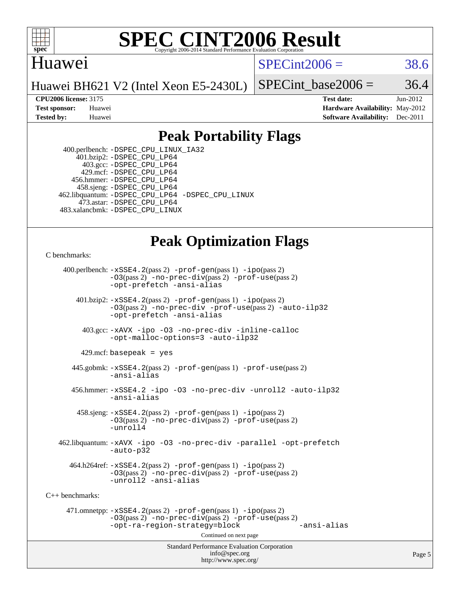

### Huawei

 $SPECint2006 = 38.6$  $SPECint2006 = 38.6$ 

Huawei BH621 V2 (Intel Xeon E5-2430L)

SPECint base2006 =  $36.4$ 

**[CPU2006 license:](http://www.spec.org/auto/cpu2006/Docs/result-fields.html#CPU2006license)** 3175 **[Test date:](http://www.spec.org/auto/cpu2006/Docs/result-fields.html#Testdate)** Jun-2012 **[Test sponsor:](http://www.spec.org/auto/cpu2006/Docs/result-fields.html#Testsponsor)** Huawei **[Hardware Availability:](http://www.spec.org/auto/cpu2006/Docs/result-fields.html#HardwareAvailability)** May-2012 **[Tested by:](http://www.spec.org/auto/cpu2006/Docs/result-fields.html#Testedby)** Huawei **[Software Availability:](http://www.spec.org/auto/cpu2006/Docs/result-fields.html#SoftwareAvailability)** Dec-2011

## **[Peak Portability Flags](http://www.spec.org/auto/cpu2006/Docs/result-fields.html#PeakPortabilityFlags)**

 400.perlbench: [-DSPEC\\_CPU\\_LINUX\\_IA32](http://www.spec.org/cpu2006/results/res2012q3/cpu2006-20120629-23274.flags.html#b400.perlbench_peakCPORTABILITY_DSPEC_CPU_LINUX_IA32) 401.bzip2: [-DSPEC\\_CPU\\_LP64](http://www.spec.org/cpu2006/results/res2012q3/cpu2006-20120629-23274.flags.html#suite_peakPORTABILITY401_bzip2_DSPEC_CPU_LP64) 403.gcc: [-DSPEC\\_CPU\\_LP64](http://www.spec.org/cpu2006/results/res2012q3/cpu2006-20120629-23274.flags.html#suite_peakPORTABILITY403_gcc_DSPEC_CPU_LP64) 429.mcf: [-DSPEC\\_CPU\\_LP64](http://www.spec.org/cpu2006/results/res2012q3/cpu2006-20120629-23274.flags.html#suite_peakPORTABILITY429_mcf_DSPEC_CPU_LP64) 456.hmmer: [-DSPEC\\_CPU\\_LP64](http://www.spec.org/cpu2006/results/res2012q3/cpu2006-20120629-23274.flags.html#suite_peakPORTABILITY456_hmmer_DSPEC_CPU_LP64) 458.sjeng: [-DSPEC\\_CPU\\_LP64](http://www.spec.org/cpu2006/results/res2012q3/cpu2006-20120629-23274.flags.html#suite_peakPORTABILITY458_sjeng_DSPEC_CPU_LP64) 462.libquantum: [-DSPEC\\_CPU\\_LP64](http://www.spec.org/cpu2006/results/res2012q3/cpu2006-20120629-23274.flags.html#suite_peakPORTABILITY462_libquantum_DSPEC_CPU_LP64) [-DSPEC\\_CPU\\_LINUX](http://www.spec.org/cpu2006/results/res2012q3/cpu2006-20120629-23274.flags.html#b462.libquantum_peakCPORTABILITY_DSPEC_CPU_LINUX) 473.astar: [-DSPEC\\_CPU\\_LP64](http://www.spec.org/cpu2006/results/res2012q3/cpu2006-20120629-23274.flags.html#suite_peakPORTABILITY473_astar_DSPEC_CPU_LP64) 483.xalancbmk: [-DSPEC\\_CPU\\_LINUX](http://www.spec.org/cpu2006/results/res2012q3/cpu2006-20120629-23274.flags.html#b483.xalancbmk_peakCXXPORTABILITY_DSPEC_CPU_LINUX)

## **[Peak Optimization Flags](http://www.spec.org/auto/cpu2006/Docs/result-fields.html#PeakOptimizationFlags)**

[C benchmarks](http://www.spec.org/auto/cpu2006/Docs/result-fields.html#Cbenchmarks):

Standard Performance Evaluation Corporation [info@spec.org](mailto:info@spec.org) 400.perlbench: [-xSSE4.2](http://www.spec.org/cpu2006/results/res2012q3/cpu2006-20120629-23274.flags.html#user_peakPASS2_CFLAGSPASS2_LDCFLAGS400_perlbench_f-xSSE42_f91528193cf0b216347adb8b939d4107)(pass 2) [-prof-gen](http://www.spec.org/cpu2006/results/res2012q3/cpu2006-20120629-23274.flags.html#user_peakPASS1_CFLAGSPASS1_LDCFLAGS400_perlbench_prof_gen_e43856698f6ca7b7e442dfd80e94a8fc)(pass 1) [-ipo](http://www.spec.org/cpu2006/results/res2012q3/cpu2006-20120629-23274.flags.html#user_peakPASS2_CFLAGSPASS2_LDCFLAGS400_perlbench_f-ipo)(pass 2) [-O3](http://www.spec.org/cpu2006/results/res2012q3/cpu2006-20120629-23274.flags.html#user_peakPASS2_CFLAGSPASS2_LDCFLAGS400_perlbench_f-O3)(pass 2) [-no-prec-div](http://www.spec.org/cpu2006/results/res2012q3/cpu2006-20120629-23274.flags.html#user_peakPASS2_CFLAGSPASS2_LDCFLAGS400_perlbench_f-no-prec-div)(pass 2) [-prof-use](http://www.spec.org/cpu2006/results/res2012q3/cpu2006-20120629-23274.flags.html#user_peakPASS2_CFLAGSPASS2_LDCFLAGS400_perlbench_prof_use_bccf7792157ff70d64e32fe3e1250b55)(pass 2) [-opt-prefetch](http://www.spec.org/cpu2006/results/res2012q3/cpu2006-20120629-23274.flags.html#user_peakCOPTIMIZE400_perlbench_f-opt-prefetch) [-ansi-alias](http://www.spec.org/cpu2006/results/res2012q3/cpu2006-20120629-23274.flags.html#user_peakCOPTIMIZE400_perlbench_f-ansi-alias) 401.bzip2: [-xSSE4.2](http://www.spec.org/cpu2006/results/res2012q3/cpu2006-20120629-23274.flags.html#user_peakPASS2_CFLAGSPASS2_LDCFLAGS401_bzip2_f-xSSE42_f91528193cf0b216347adb8b939d4107)(pass 2) [-prof-gen](http://www.spec.org/cpu2006/results/res2012q3/cpu2006-20120629-23274.flags.html#user_peakPASS1_CFLAGSPASS1_LDCFLAGS401_bzip2_prof_gen_e43856698f6ca7b7e442dfd80e94a8fc)(pass 1) [-ipo](http://www.spec.org/cpu2006/results/res2012q3/cpu2006-20120629-23274.flags.html#user_peakPASS2_CFLAGSPASS2_LDCFLAGS401_bzip2_f-ipo)(pass 2) [-O3](http://www.spec.org/cpu2006/results/res2012q3/cpu2006-20120629-23274.flags.html#user_peakPASS2_CFLAGSPASS2_LDCFLAGS401_bzip2_f-O3)(pass 2) [-no-prec-div](http://www.spec.org/cpu2006/results/res2012q3/cpu2006-20120629-23274.flags.html#user_peakCOPTIMIZEPASS2_CFLAGSPASS2_LDCFLAGS401_bzip2_f-no-prec-div) [-prof-use](http://www.spec.org/cpu2006/results/res2012q3/cpu2006-20120629-23274.flags.html#user_peakPASS2_CFLAGSPASS2_LDCFLAGS401_bzip2_prof_use_bccf7792157ff70d64e32fe3e1250b55)(pass 2) [-auto-ilp32](http://www.spec.org/cpu2006/results/res2012q3/cpu2006-20120629-23274.flags.html#user_peakCOPTIMIZE401_bzip2_f-auto-ilp32) [-opt-prefetch](http://www.spec.org/cpu2006/results/res2012q3/cpu2006-20120629-23274.flags.html#user_peakCOPTIMIZE401_bzip2_f-opt-prefetch) [-ansi-alias](http://www.spec.org/cpu2006/results/res2012q3/cpu2006-20120629-23274.flags.html#user_peakCOPTIMIZE401_bzip2_f-ansi-alias) 403.gcc: [-xAVX](http://www.spec.org/cpu2006/results/res2012q3/cpu2006-20120629-23274.flags.html#user_peakCOPTIMIZE403_gcc_f-xAVX) [-ipo](http://www.spec.org/cpu2006/results/res2012q3/cpu2006-20120629-23274.flags.html#user_peakCOPTIMIZE403_gcc_f-ipo) [-O3](http://www.spec.org/cpu2006/results/res2012q3/cpu2006-20120629-23274.flags.html#user_peakCOPTIMIZE403_gcc_f-O3) [-no-prec-div](http://www.spec.org/cpu2006/results/res2012q3/cpu2006-20120629-23274.flags.html#user_peakCOPTIMIZE403_gcc_f-no-prec-div) [-inline-calloc](http://www.spec.org/cpu2006/results/res2012q3/cpu2006-20120629-23274.flags.html#user_peakCOPTIMIZE403_gcc_f-inline-calloc) [-opt-malloc-options=3](http://www.spec.org/cpu2006/results/res2012q3/cpu2006-20120629-23274.flags.html#user_peakCOPTIMIZE403_gcc_f-opt-malloc-options_13ab9b803cf986b4ee62f0a5998c2238) [-auto-ilp32](http://www.spec.org/cpu2006/results/res2012q3/cpu2006-20120629-23274.flags.html#user_peakCOPTIMIZE403_gcc_f-auto-ilp32)  $429$ .mcf: basepeak = yes 445.gobmk: [-xSSE4.2](http://www.spec.org/cpu2006/results/res2012q3/cpu2006-20120629-23274.flags.html#user_peakPASS2_CFLAGSPASS2_LDCFLAGS445_gobmk_f-xSSE42_f91528193cf0b216347adb8b939d4107)(pass 2) [-prof-gen](http://www.spec.org/cpu2006/results/res2012q3/cpu2006-20120629-23274.flags.html#user_peakPASS1_CFLAGSPASS1_LDCFLAGS445_gobmk_prof_gen_e43856698f6ca7b7e442dfd80e94a8fc)(pass 1) [-prof-use](http://www.spec.org/cpu2006/results/res2012q3/cpu2006-20120629-23274.flags.html#user_peakPASS2_CFLAGSPASS2_LDCFLAGS445_gobmk_prof_use_bccf7792157ff70d64e32fe3e1250b55)(pass 2) [-ansi-alias](http://www.spec.org/cpu2006/results/res2012q3/cpu2006-20120629-23274.flags.html#user_peakCOPTIMIZE445_gobmk_f-ansi-alias) 456.hmmer: [-xSSE4.2](http://www.spec.org/cpu2006/results/res2012q3/cpu2006-20120629-23274.flags.html#user_peakCOPTIMIZE456_hmmer_f-xSSE42_f91528193cf0b216347adb8b939d4107) [-ipo](http://www.spec.org/cpu2006/results/res2012q3/cpu2006-20120629-23274.flags.html#user_peakCOPTIMIZE456_hmmer_f-ipo) [-O3](http://www.spec.org/cpu2006/results/res2012q3/cpu2006-20120629-23274.flags.html#user_peakCOPTIMIZE456_hmmer_f-O3) [-no-prec-div](http://www.spec.org/cpu2006/results/res2012q3/cpu2006-20120629-23274.flags.html#user_peakCOPTIMIZE456_hmmer_f-no-prec-div) [-unroll2](http://www.spec.org/cpu2006/results/res2012q3/cpu2006-20120629-23274.flags.html#user_peakCOPTIMIZE456_hmmer_f-unroll_784dae83bebfb236979b41d2422d7ec2) [-auto-ilp32](http://www.spec.org/cpu2006/results/res2012q3/cpu2006-20120629-23274.flags.html#user_peakCOPTIMIZE456_hmmer_f-auto-ilp32) [-ansi-alias](http://www.spec.org/cpu2006/results/res2012q3/cpu2006-20120629-23274.flags.html#user_peakCOPTIMIZE456_hmmer_f-ansi-alias) 458.sjeng: [-xSSE4.2](http://www.spec.org/cpu2006/results/res2012q3/cpu2006-20120629-23274.flags.html#user_peakPASS2_CFLAGSPASS2_LDCFLAGS458_sjeng_f-xSSE42_f91528193cf0b216347adb8b939d4107)(pass 2) [-prof-gen](http://www.spec.org/cpu2006/results/res2012q3/cpu2006-20120629-23274.flags.html#user_peakPASS1_CFLAGSPASS1_LDCFLAGS458_sjeng_prof_gen_e43856698f6ca7b7e442dfd80e94a8fc)(pass 1) [-ipo](http://www.spec.org/cpu2006/results/res2012q3/cpu2006-20120629-23274.flags.html#user_peakPASS2_CFLAGSPASS2_LDCFLAGS458_sjeng_f-ipo)(pass 2) [-O3](http://www.spec.org/cpu2006/results/res2012q3/cpu2006-20120629-23274.flags.html#user_peakPASS2_CFLAGSPASS2_LDCFLAGS458_sjeng_f-O3)(pass 2) [-no-prec-div](http://www.spec.org/cpu2006/results/res2012q3/cpu2006-20120629-23274.flags.html#user_peakPASS2_CFLAGSPASS2_LDCFLAGS458_sjeng_f-no-prec-div)(pass 2) [-prof-use](http://www.spec.org/cpu2006/results/res2012q3/cpu2006-20120629-23274.flags.html#user_peakPASS2_CFLAGSPASS2_LDCFLAGS458_sjeng_prof_use_bccf7792157ff70d64e32fe3e1250b55)(pass 2) [-unroll4](http://www.spec.org/cpu2006/results/res2012q3/cpu2006-20120629-23274.flags.html#user_peakCOPTIMIZE458_sjeng_f-unroll_4e5e4ed65b7fd20bdcd365bec371b81f) 462.libquantum: [-xAVX](http://www.spec.org/cpu2006/results/res2012q3/cpu2006-20120629-23274.flags.html#user_peakCOPTIMIZE462_libquantum_f-xAVX) [-ipo](http://www.spec.org/cpu2006/results/res2012q3/cpu2006-20120629-23274.flags.html#user_peakCOPTIMIZE462_libquantum_f-ipo) [-O3](http://www.spec.org/cpu2006/results/res2012q3/cpu2006-20120629-23274.flags.html#user_peakCOPTIMIZE462_libquantum_f-O3) [-no-prec-div](http://www.spec.org/cpu2006/results/res2012q3/cpu2006-20120629-23274.flags.html#user_peakCOPTIMIZE462_libquantum_f-no-prec-div) [-parallel](http://www.spec.org/cpu2006/results/res2012q3/cpu2006-20120629-23274.flags.html#user_peakCOPTIMIZE462_libquantum_f-parallel) [-opt-prefetch](http://www.spec.org/cpu2006/results/res2012q3/cpu2006-20120629-23274.flags.html#user_peakCOPTIMIZE462_libquantum_f-opt-prefetch) [-auto-p32](http://www.spec.org/cpu2006/results/res2012q3/cpu2006-20120629-23274.flags.html#user_peakCOPTIMIZE462_libquantum_f-auto-p32)  $464.h264$ ref:  $-xSSE4$ .  $2(pass 2)$  [-prof-gen](http://www.spec.org/cpu2006/results/res2012q3/cpu2006-20120629-23274.flags.html#user_peakPASS1_CFLAGSPASS1_LDCFLAGS464_h264ref_prof_gen_e43856698f6ca7b7e442dfd80e94a8fc)(pass 1) [-ipo](http://www.spec.org/cpu2006/results/res2012q3/cpu2006-20120629-23274.flags.html#user_peakPASS2_CFLAGSPASS2_LDCFLAGS464_h264ref_f-ipo)(pass 2) [-O3](http://www.spec.org/cpu2006/results/res2012q3/cpu2006-20120629-23274.flags.html#user_peakPASS2_CFLAGSPASS2_LDCFLAGS464_h264ref_f-O3)(pass 2) [-no-prec-div](http://www.spec.org/cpu2006/results/res2012q3/cpu2006-20120629-23274.flags.html#user_peakPASS2_CFLAGSPASS2_LDCFLAGS464_h264ref_f-no-prec-div)(pass 2) [-prof-use](http://www.spec.org/cpu2006/results/res2012q3/cpu2006-20120629-23274.flags.html#user_peakPASS2_CFLAGSPASS2_LDCFLAGS464_h264ref_prof_use_bccf7792157ff70d64e32fe3e1250b55)(pass 2) [-unroll2](http://www.spec.org/cpu2006/results/res2012q3/cpu2006-20120629-23274.flags.html#user_peakCOPTIMIZE464_h264ref_f-unroll_784dae83bebfb236979b41d2422d7ec2) [-ansi-alias](http://www.spec.org/cpu2006/results/res2012q3/cpu2006-20120629-23274.flags.html#user_peakCOPTIMIZE464_h264ref_f-ansi-alias) [C++ benchmarks:](http://www.spec.org/auto/cpu2006/Docs/result-fields.html#CXXbenchmarks) 471.omnetpp: [-xSSE4.2](http://www.spec.org/cpu2006/results/res2012q3/cpu2006-20120629-23274.flags.html#user_peakPASS2_CXXFLAGSPASS2_LDCXXFLAGS471_omnetpp_f-xSSE42_f91528193cf0b216347adb8b939d4107)(pass 2) [-prof-gen](http://www.spec.org/cpu2006/results/res2012q3/cpu2006-20120629-23274.flags.html#user_peakPASS1_CXXFLAGSPASS1_LDCXXFLAGS471_omnetpp_prof_gen_e43856698f6ca7b7e442dfd80e94a8fc)(pass 1) [-ipo](http://www.spec.org/cpu2006/results/res2012q3/cpu2006-20120629-23274.flags.html#user_peakPASS2_CXXFLAGSPASS2_LDCXXFLAGS471_omnetpp_f-ipo)(pass 2) [-O3](http://www.spec.org/cpu2006/results/res2012q3/cpu2006-20120629-23274.flags.html#user_peakPASS2_CXXFLAGSPASS2_LDCXXFLAGS471_omnetpp_f-O3)(pass 2) [-no-prec-div](http://www.spec.org/cpu2006/results/res2012q3/cpu2006-20120629-23274.flags.html#user_peakPASS2_CXXFLAGSPASS2_LDCXXFLAGS471_omnetpp_f-no-prec-div)(pass 2) [-prof-use](http://www.spec.org/cpu2006/results/res2012q3/cpu2006-20120629-23274.flags.html#user_peakPASS2_CXXFLAGSPASS2_LDCXXFLAGS471_omnetpp_prof_use_bccf7792157ff70d64e32fe3e1250b55)(pass 2) [-opt-ra-region-strategy=block](http://www.spec.org/cpu2006/results/res2012q3/cpu2006-20120629-23274.flags.html#user_peakCXXOPTIMIZE471_omnetpp_f-opt-ra-region-strategy_5382940c29ea30302d682fc74bfe0147) [-ansi-alias](http://www.spec.org/cpu2006/results/res2012q3/cpu2006-20120629-23274.flags.html#user_peakCXXOPTIMIZE471_omnetpp_f-ansi-alias) Continued on next page

<http://www.spec.org/>